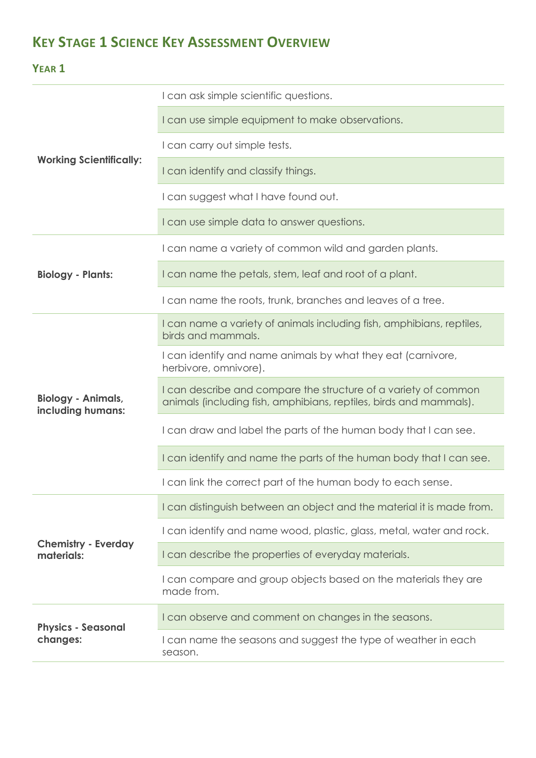## **KEY STAGE 1 SCIENCE KEY ASSESSMENT OVERVIEW**

## **YEAR 1**

| <b>Working Scientifically:</b>                 | I can ask simple scientific questions.                                                                                                |
|------------------------------------------------|---------------------------------------------------------------------------------------------------------------------------------------|
|                                                | I can use simple equipment to make observations.                                                                                      |
|                                                | I can carry out simple tests.                                                                                                         |
|                                                | I can identify and classify things.                                                                                                   |
|                                                | I can suggest what I have found out.                                                                                                  |
|                                                | I can use simple data to answer questions.                                                                                            |
| <b>Biology - Plants:</b>                       | I can name a variety of common wild and garden plants.                                                                                |
|                                                | I can name the petals, stem, leaf and root of a plant.                                                                                |
|                                                | I can name the roots, trunk, branches and leaves of a tree.                                                                           |
| <b>Biology - Animals,</b><br>including humans: | I can name a variety of animals including fish, amphibians, reptiles,<br>birds and mammals.                                           |
|                                                | I can identify and name animals by what they eat (carnivore,<br>herbivore, omnivore).                                                 |
|                                                | I can describe and compare the structure of a variety of common<br>animals (including fish, amphibians, reptiles, birds and mammals). |
|                                                | I can draw and label the parts of the human body that I can see.                                                                      |
|                                                | I can identify and name the parts of the human body that I can see.                                                                   |
|                                                | I can link the correct part of the human body to each sense.                                                                          |
| <b>Chemistry - Everday</b><br>materials:       | I can distinguish between an object and the material it is made from.                                                                 |
|                                                | I can identify and name wood, plastic, glass, metal, water and rock.                                                                  |
|                                                | I can describe the properties of everyday materials.                                                                                  |
|                                                | I can compare and group objects based on the materials they are<br>made from.                                                         |
| <b>Physics - Seasonal</b><br>changes:          | I can observe and comment on changes in the seasons.                                                                                  |
|                                                | I can name the seasons and suggest the type of weather in each<br>season.                                                             |